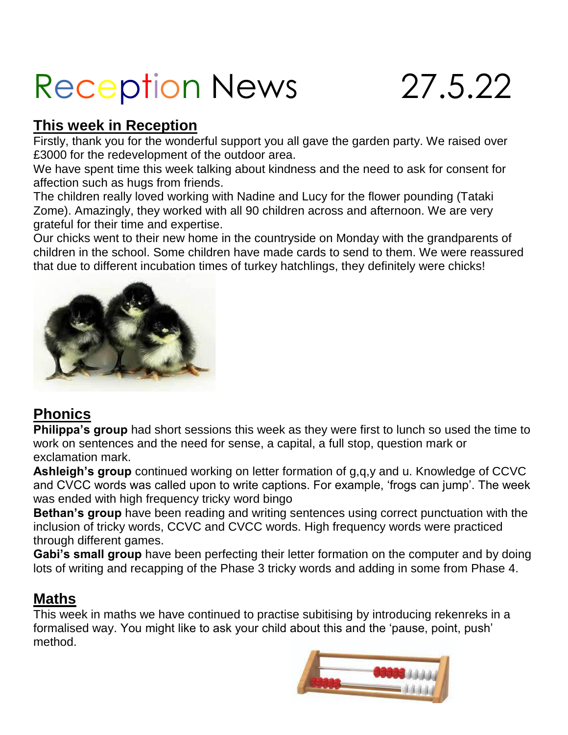# Reception News 27.5.22

## **This week in Reception**

Firstly, thank you for the wonderful support you all gave the garden party. We raised over £3000 for the redevelopment of the outdoor area.

We have spent time this week talking about kindness and the need to ask for consent for affection such as hugs from friends.

The children really loved working with Nadine and Lucy for the flower pounding (Tataki Zome). Amazingly, they worked with all 90 children across and afternoon. We are very grateful for their time and expertise.

Our chicks went to their new home in the countryside on Monday with the grandparents of children in the school. Some children have made cards to send to them. We were reassured that due to different incubation times of turkey hatchlings, they definitely were chicks!



# **Phonics**

**Philippa's group** had short sessions this week as they were first to lunch so used the time to work on sentences and the need for sense, a capital, a full stop, question mark or exclamation mark.

**Ashleigh's group** continued working on letter formation of g,q,y and u. Knowledge of CCVC and CVCC words was called upon to write captions. For example, 'frogs can jump'. The week was ended with high frequency tricky word bingo

**Bethan's group** have been reading and writing sentences using correct punctuation with the inclusion of tricky words, CCVC and CVCC words. High frequency words were practiced through different games.

**Gabi's small group** have been perfecting their letter formation on the computer and by doing lots of writing and recapping of the Phase 3 tricky words and adding in some from Phase 4.

# **Maths**

This week in maths we have continued to practise subitising by introducing rekenreks in a formalised way. You might like to ask your child about this and the 'pause, point, push' method.

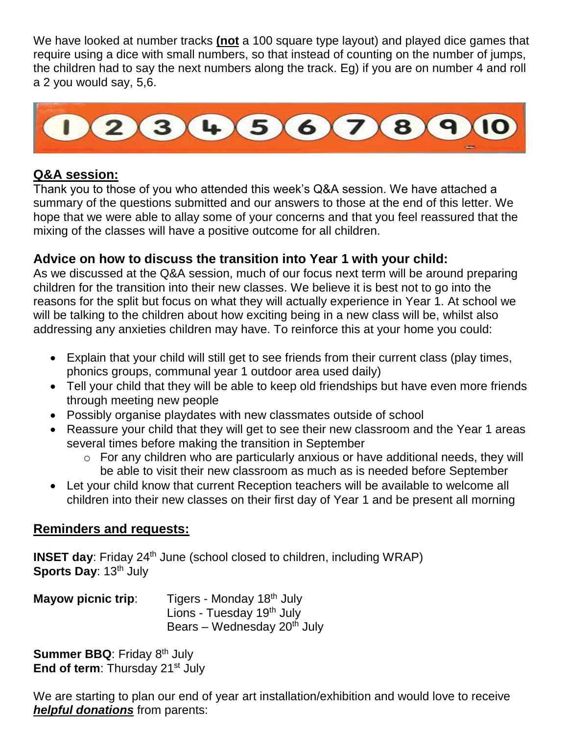We have looked at number tracks **(not** a 100 square type layout) and played dice games that require using a dice with small numbers, so that instead of counting on the number of jumps, the children had to say the next numbers along the track. Eg) if you are on number 4 and roll a 2 you would say, 5,6.



#### **Q&A session:**

Thank you to those of you who attended this week's Q&A session. We have attached a summary of the questions submitted and our answers to those at the end of this letter. We hope that we were able to allay some of your concerns and that you feel reassured that the mixing of the classes will have a positive outcome for all children.

### **Advice on how to discuss the transition into Year 1 with your child:**

As we discussed at the Q&A session, much of our focus next term will be around preparing children for the transition into their new classes. We believe it is best not to go into the reasons for the split but focus on what they will actually experience in Year 1. At school we will be talking to the children about how exciting being in a new class will be, whilst also addressing any anxieties children may have. To reinforce this at your home you could:

- Explain that your child will still get to see friends from their current class (play times, phonics groups, communal year 1 outdoor area used daily)
- Tell your child that they will be able to keep old friendships but have even more friends through meeting new people
- Possibly organise playdates with new classmates outside of school
- Reassure your child that they will get to see their new classroom and the Year 1 areas several times before making the transition in September
	- o For any children who are particularly anxious or have additional needs, they will be able to visit their new classroom as much as is needed before September
- Let your child know that current Reception teachers will be available to welcome all children into their new classes on their first day of Year 1 and be present all morning

#### **Reminders and requests:**

**INSET day**: Friday 24<sup>th</sup> June (school closed to children, including WRAP) **Sports Day: 13<sup>th</sup> July** 

| <b>Mayow picnic trip:</b> | Tigers - Monday 18 <sup>th</sup> July   |
|---------------------------|-----------------------------------------|
|                           | Lions - Tuesday 19 <sup>th</sup> July   |
|                           | Bears – Wednesday 20 <sup>th</sup> July |

**Summer BBQ: Friday 8th July End of term:** Thursday 21<sup>st</sup> July

We are starting to plan our end of year art installation/exhibition and would love to receive *helpful donations* from parents: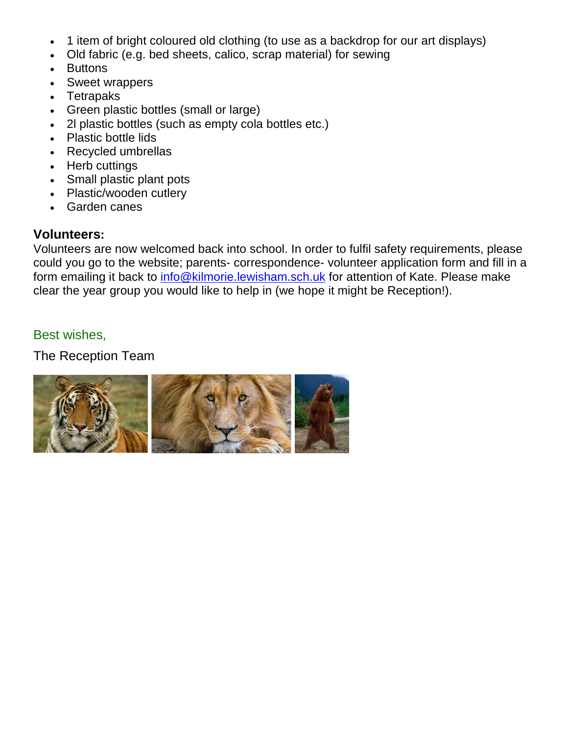- 1 item of bright coloured old clothing (to use as a backdrop for our art displays)
- Old fabric (e.g. bed sheets, calico, scrap material) for sewing
- Buttons
- Sweet wrappers
- Tetrapaks
- Green plastic bottles (small or large)
- 2l plastic bottles (such as empty cola bottles etc.)
- Plastic bottle lids
- Recycled umbrellas
- Herb cuttings
- Small plastic plant pots
- Plastic/wooden cutlery
- Garden canes

#### **Volunteers:**

Volunteers are now welcomed back into school. In order to fulfil safety requirements, please could you go to the website; parents- correspondence- volunteer application form and fill in a form emailing it back to [info@kilmorie.lewisham.sch.uk](mailto:info@kilmorie.lewisham.sch.uk) for attention of Kate. Please make clear the year group you would like to help in (we hope it might be Reception!).

#### Best wishes,

The Reception Team

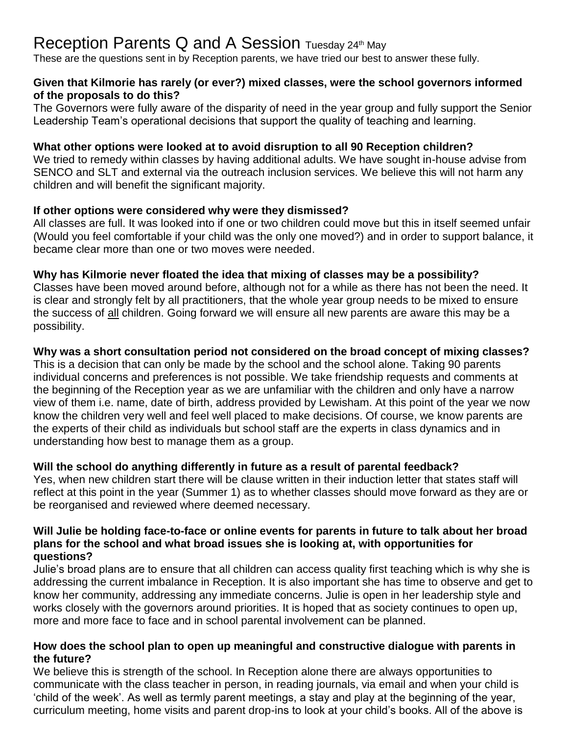# Reception Parents Q and A Session Tuesday 24th May

These are the questions sent in by Reception parents, we have tried our best to answer these fully.

#### **Given that Kilmorie has rarely (or ever?) mixed classes, were the school governors informed of the proposals to do this?**

The Governors were fully aware of the disparity of need in the year group and fully support the Senior Leadership Team's operational decisions that support the quality of teaching and learning.

#### **What other options were looked at to avoid disruption to all 90 Reception children?**

We tried to remedy within classes by having additional adults. We have sought in-house advise from SENCO and SLT and external via the outreach inclusion services. We believe this will not harm any children and will benefit the significant majority.

#### **If other options were considered why were they dismissed?**

All classes are full. It was looked into if one or two children could move but this in itself seemed unfair (Would you feel comfortable if your child was the only one moved?) and in order to support balance, it became clear more than one or two moves were needed.

#### **Why has Kilmorie never floated the idea that mixing of classes may be a possibility?**

Classes have been moved around before, although not for a while as there has not been the need. It is clear and strongly felt by all practitioners, that the whole year group needs to be mixed to ensure the success of all children. Going forward we will ensure all new parents are aware this may be a possibility.

#### **Why was a short consultation period not considered on the broad concept of mixing classes?**

This is a decision that can only be made by the school and the school alone. Taking 90 parents individual concerns and preferences is not possible. We take friendship requests and comments at the beginning of the Reception year as we are unfamiliar with the children and only have a narrow view of them i.e. name, date of birth, address provided by Lewisham. At this point of the year we now know the children very well and feel well placed to make decisions. Of course, we know parents are the experts of their child as individuals but school staff are the experts in class dynamics and in understanding how best to manage them as a group.

#### **Will the school do anything differently in future as a result of parental feedback?**

Yes, when new children start there will be clause written in their induction letter that states staff will reflect at this point in the year (Summer 1) as to whether classes should move forward as they are or be reorganised and reviewed where deemed necessary.

#### **Will Julie be holding face-to-face or online events for parents in future to talk about her broad plans for the school and what broad issues she is looking at, with opportunities for questions?**

Julie's broad plans are to ensure that all children can access quality first teaching which is why she is addressing the current imbalance in Reception. It is also important she has time to observe and get to know her community, addressing any immediate concerns. Julie is open in her leadership style and works closely with the governors around priorities. It is hoped that as society continues to open up, more and more face to face and in school parental involvement can be planned.

#### **How does the school plan to open up meaningful and constructive dialogue with parents in the future?**

We believe this is strength of the school. In Reception alone there are always opportunities to communicate with the class teacher in person, in reading journals, via email and when your child is 'child of the week'. As well as termly parent meetings, a stay and play at the beginning of the year, curriculum meeting, home visits and parent drop-ins to look at your child's books. All of the above is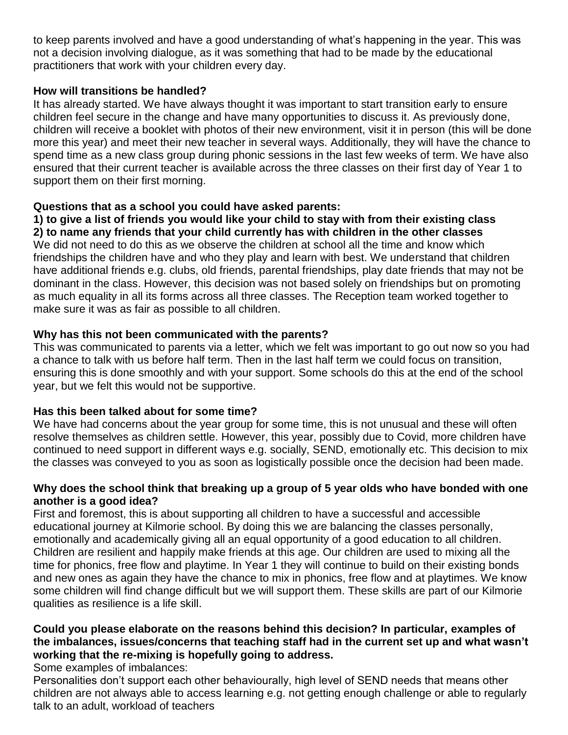to keep parents involved and have a good understanding of what's happening in the year. This was not a decision involving dialogue, as it was something that had to be made by the educational practitioners that work with your children every day.

#### **How will transitions be handled?**

It has already started. We have always thought it was important to start transition early to ensure children feel secure in the change and have many opportunities to discuss it. As previously done, children will receive a booklet with photos of their new environment, visit it in person (this will be done more this year) and meet their new teacher in several ways. Additionally, they will have the chance to spend time as a new class group during phonic sessions in the last few weeks of term. We have also ensured that their current teacher is available across the three classes on their first day of Year 1 to support them on their first morning.

#### **Questions that as a school you could have asked parents:**

**1) to give a list of friends you would like your child to stay with from their existing class 2) to name any friends that your child currently has with children in the other classes** We did not need to do this as we observe the children at school all the time and know which friendships the children have and who they play and learn with best. We understand that children have additional friends e.g. clubs, old friends, parental friendships, play date friends that may not be dominant in the class. However, this decision was not based solely on friendships but on promoting as much equality in all its forms across all three classes. The Reception team worked together to make sure it was as fair as possible to all children.

#### **Why has this not been communicated with the parents?**

This was communicated to parents via a letter, which we felt was important to go out now so you had a chance to talk with us before half term. Then in the last half term we could focus on transition, ensuring this is done smoothly and with your support. Some schools do this at the end of the school year, but we felt this would not be supportive.

#### **Has this been talked about for some time?**

We have had concerns about the year group for some time, this is not unusual and these will often resolve themselves as children settle. However, this year, possibly due to Covid, more children have continued to need support in different ways e.g. socially, SEND, emotionally etc. This decision to mix the classes was conveyed to you as soon as logistically possible once the decision had been made.

#### **Why does the school think that breaking up a group of 5 year olds who have bonded with one another is a good idea?**

First and foremost, this is about supporting all children to have a successful and accessible educational journey at Kilmorie school. By doing this we are balancing the classes personally, emotionally and academically giving all an equal opportunity of a good education to all children. Children are resilient and happily make friends at this age. Our children are used to mixing all the time for phonics, free flow and playtime. In Year 1 they will continue to build on their existing bonds and new ones as again they have the chance to mix in phonics, free flow and at playtimes. We know some children will find change difficult but we will support them. These skills are part of our Kilmorie qualities as resilience is a life skill.

#### **Could you please elaborate on the reasons behind this decision? In particular, examples of the imbalances, issues/concerns that teaching staff had in the current set up and what wasn't working that the re-mixing is hopefully going to address.**

Some examples of imbalances:

Personalities don't support each other behaviourally, high level of SEND needs that means other children are not always able to access learning e.g. not getting enough challenge or able to regularly talk to an adult, workload of teachers